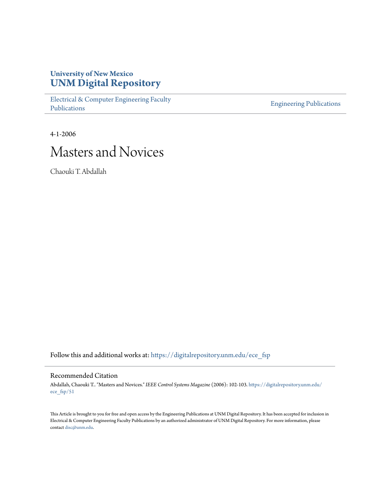## **University of New Mexico [UNM Digital Repository](https://digitalrepository.unm.edu?utm_source=digitalrepository.unm.edu%2Fece_fsp%2F51&utm_medium=PDF&utm_campaign=PDFCoverPages)**

[Electrical & Computer Engineering Faculty](https://digitalrepository.unm.edu/ece_fsp?utm_source=digitalrepository.unm.edu%2Fece_fsp%2F51&utm_medium=PDF&utm_campaign=PDFCoverPages) [Publications](https://digitalrepository.unm.edu/ece_fsp?utm_source=digitalrepository.unm.edu%2Fece_fsp%2F51&utm_medium=PDF&utm_campaign=PDFCoverPages)

[Engineering Publications](https://digitalrepository.unm.edu/eng_fsp?utm_source=digitalrepository.unm.edu%2Fece_fsp%2F51&utm_medium=PDF&utm_campaign=PDFCoverPages)

4-1-2006

# Masters and Novices

Chaouki T. Abdallah

Follow this and additional works at: [https://digitalrepository.unm.edu/ece\\_fsp](https://digitalrepository.unm.edu/ece_fsp?utm_source=digitalrepository.unm.edu%2Fece_fsp%2F51&utm_medium=PDF&utm_campaign=PDFCoverPages)

### Recommended Citation

Abdallah, Chaouki T.. "Masters and Novices." *IEEE Control Systems Magazine* (2006): 102-103. [https://digitalrepository.unm.edu/](https://digitalrepository.unm.edu/ece_fsp/51?utm_source=digitalrepository.unm.edu%2Fece_fsp%2F51&utm_medium=PDF&utm_campaign=PDFCoverPages) [ece\\_fsp/51](https://digitalrepository.unm.edu/ece_fsp/51?utm_source=digitalrepository.unm.edu%2Fece_fsp%2F51&utm_medium=PDF&utm_campaign=PDFCoverPages)

This Article is brought to you for free and open access by the Engineering Publications at UNM Digital Repository. It has been accepted for inclusion in Electrical & Computer Engineering Faculty Publications by an authorized administrator of UNM Digital Repository. For more information, please contact [disc@unm.edu.](mailto:disc@unm.edu)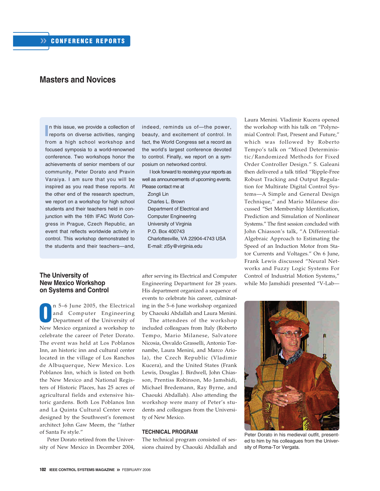## **Masters and Novices**

**I**n this issue, we provide a collection of reports on diverse activities, ranging n this issue, we provide a collection of from a high school workshop and focused symposia to a world-renowned conference. Two workshops honor the achievements of senior members of our community, Peter Dorato and Pravin Varaiya. I am sure that you will be inspired as you read these reports. At the other end of the research spectrum, we report on a workshop for high school students and their teachers held in conjunction with the 16th IFAC World Congress in Prague, Czech Republic, an event that reflects worldwide activity in control. This workshop demonstrated to the students and their teachers—and,

#### **The University of New Mexico Workshop on Systems and Control**

**O** n 5–6 June 2005, the Electrical and Computer Engineering Department of the University of New Mexico organized a workshop to celebrate the career of Peter Dorato. The event was held at Los Poblanos Inn, an historic inn and cultural center located in the village of Los Ranchos de Albuquerque, New Mexico. Los Poblanos Inn, which is listed on both the New Mexico and National Registers of Historic Places, has 25 acres of agricultural fields and extensive historic gardens. Both Los Poblanos Inn and La Quinta Cultural Center were designed by the Southwest's foremost architect John Gaw Meem, the "father of Santa Fe style."

Peter Dorato retired from the University of New Mexico in December 2004, indeed, reminds us of—the power, beauty, and excitement of control. In fact, the World Congress set a record as the world's largest conference devoted to control. Finally, we report on a symposium on networked control.

I look forward to receiving your reports as well as announcements of upcoming events. Please contact me at

Zongli Lin Charles L. Brown Department of Electrical and Computer Engineering University of Virginia P.O. Box 400743 Charlottesville, VA 22904-4743 USA E-mail: zl5y@virginia.edu

after serving its Electrical and Computer Engineering Department for 28 years. His department organized a sequence of events to celebrate his career, culminating in the 5–6 June workshop organized by Chaouki Abdallah and Laura Menini.

The attendees of the workshop included colleagues from Italy (Roberto Tempo, Mario Milanese, Salvatore Nicosia, Osvaldo Grasselli, Antonio Tornambe, Laura Menini, and Marco Ariola), the Czech Republic (Vladimir Kucera), and the United States (Frank Lewis, Douglas J. Birdwell, John Chiasson, Prentiss Robinson, Mo Jamshidi, Michael Bredemann, Ray Byrne, and Chaouki Abdallah). Also attending the workshop were many of Peter's students and colleagues from the University of New Mexico.

#### **TECHNICAL PROGRAM**

The technical program consisted of sessions chaired by Chaouki Abdallah and Laura Menini. Vladimir Kucera opened the workshop with his talk on "Polynomial Control: Past, Present and Future," which was followed by Roberto Tempo's talk on "Mixed Deterministic/Randomized Methods for Fixed Order Controller Design." S. Galeani then delivered a talk titled "Ripple-Free Robust Tracking and Output Regulation for Multirate Digital Control Systems—A Simple and General Design Technique," and Mario Milanese discussed "Set Membership Identification, Prediction and Simulation of Nonlinear Systems." The first session concluded with John Chiasson's talk, "A Differential-Algebraic Approach to Estimating the Speed of an Induction Motor from Stator Currents and Voltages." On 6 June, Frank Lewis discussed "Neural Networks and Fuzzy Logic Systems For Control of Industrial Motion Systems," while Mo Jamshidi presented "V-Lab—



Peter Dorato in his medieval outfit, presented to him by his colleagues from the University of Roma-Tor Vergata.